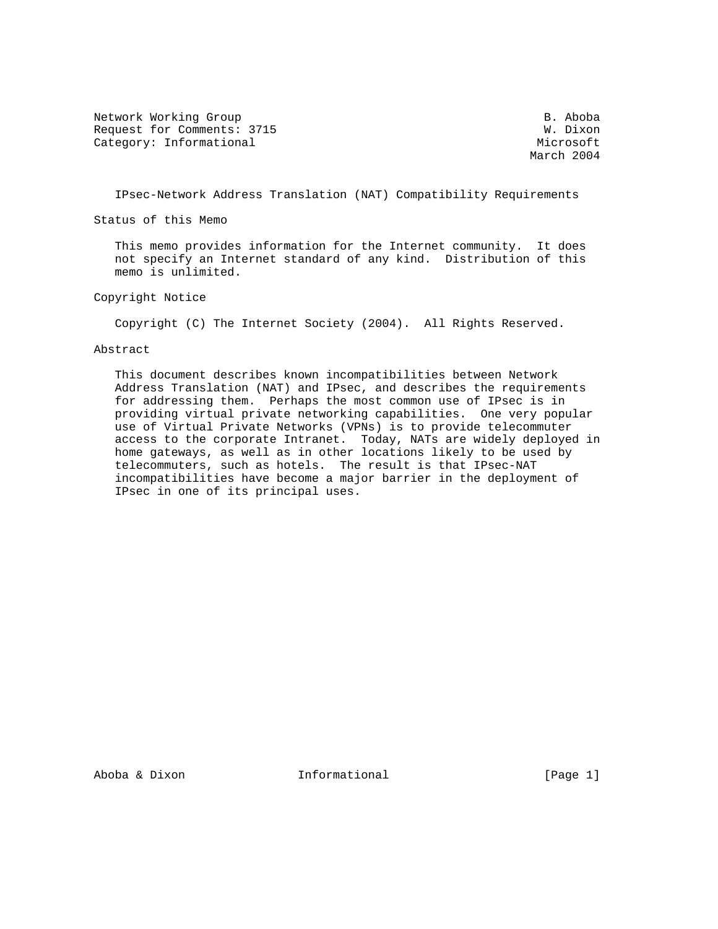Network Working Group and the set of the set of the set of the set of the set of the set of the set of the set o Request for Comments: 3715 W. Dixon Category: Informational Microsoft Microsoft Microsoft

March 2004

IPsec-Network Address Translation (NAT) Compatibility Requirements

Status of this Memo

 This memo provides information for the Internet community. It does not specify an Internet standard of any kind. Distribution of this memo is unlimited.

Copyright Notice

Copyright (C) The Internet Society (2004). All Rights Reserved.

#### Abstract

 This document describes known incompatibilities between Network Address Translation (NAT) and IPsec, and describes the requirements for addressing them. Perhaps the most common use of IPsec is in providing virtual private networking capabilities. One very popular use of Virtual Private Networks (VPNs) is to provide telecommuter access to the corporate Intranet. Today, NATs are widely deployed in home gateways, as well as in other locations likely to be used by telecommuters, such as hotels. The result is that IPsec-NAT incompatibilities have become a major barrier in the deployment of IPsec in one of its principal uses.

Aboba & Dixon Informational [Page 1]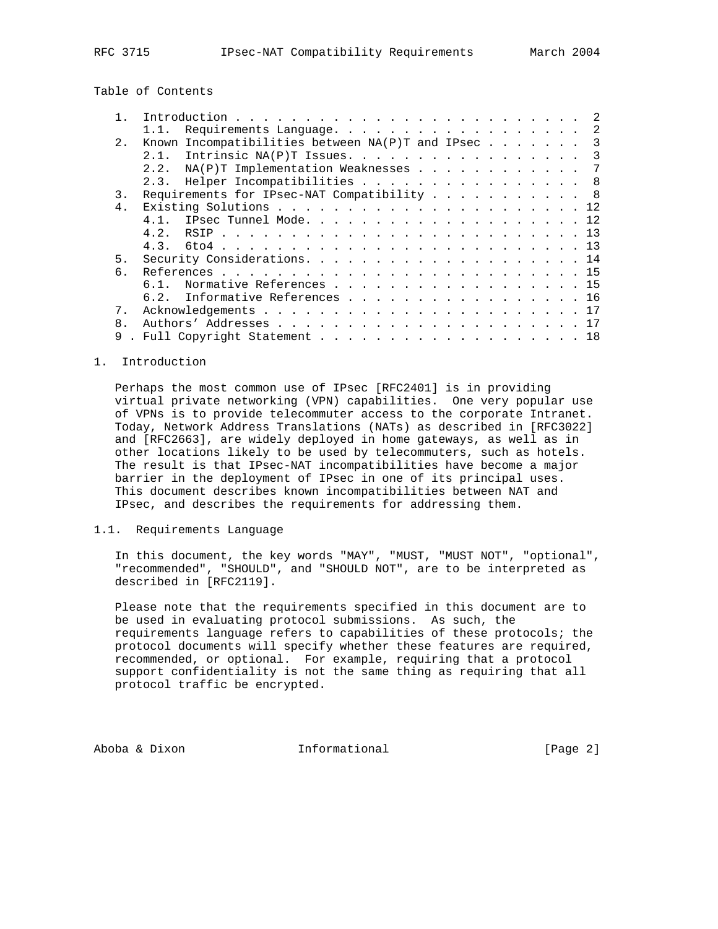Table of Contents

|                | Requirements Language.<br>$\overline{\phantom{a}}$<br>1.1.    |
|----------------|---------------------------------------------------------------|
| 2.1            | Known Incompatibilities between $NA(P)T$ and IPsec<br>3       |
|                | Intrinsic NA(P)T Issues.<br>2.1.<br>$\overline{\phantom{a}3}$ |
|                | NA(P)T Implementation Weaknesses<br>2.2.<br>7                 |
|                | 2.3. Helper Incompatibilities 8                               |
| 3.             | Requirements for IPsec-NAT Compatibility 8                    |
| $4$ .          |                                                               |
|                | 4 1                                                           |
|                | 4.2.                                                          |
|                |                                                               |
| 5 <sub>1</sub> |                                                               |
| ნ.             |                                                               |
|                | Normative References 15<br>61                                 |
|                | Informative References 16<br>6.2.                             |
| $7$ .          |                                                               |
| 8              |                                                               |
| 9              | Full Copyright Statement 18                                   |

#### 1. Introduction

 Perhaps the most common use of IPsec [RFC2401] is in providing virtual private networking (VPN) capabilities. One very popular use of VPNs is to provide telecommuter access to the corporate Intranet. Today, Network Address Translations (NATs) as described in [RFC3022] and [RFC2663], are widely deployed in home gateways, as well as in other locations likely to be used by telecommuters, such as hotels. The result is that IPsec-NAT incompatibilities have become a major barrier in the deployment of IPsec in one of its principal uses. This document describes known incompatibilities between NAT and IPsec, and describes the requirements for addressing them.

## 1.1. Requirements Language

 In this document, the key words "MAY", "MUST, "MUST NOT", "optional", "recommended", "SHOULD", and "SHOULD NOT", are to be interpreted as described in [RFC2119].

 Please note that the requirements specified in this document are to be used in evaluating protocol submissions. As such, the requirements language refers to capabilities of these protocols; the protocol documents will specify whether these features are required, recommended, or optional. For example, requiring that a protocol support confidentiality is not the same thing as requiring that all protocol traffic be encrypted.

Aboba & Dixon **Informational Informational** [Page 2]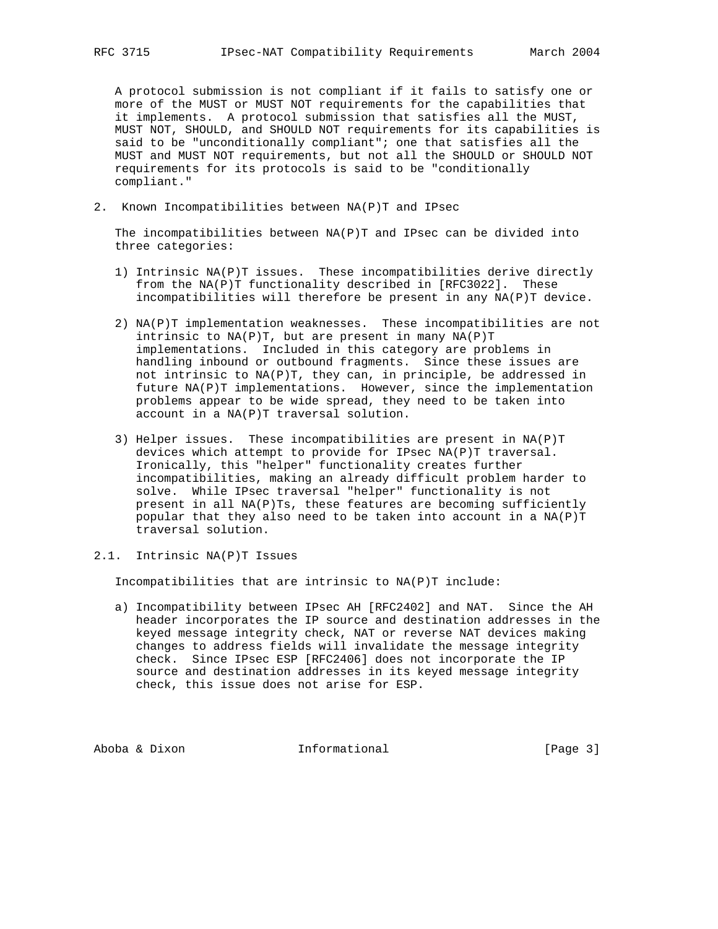A protocol submission is not compliant if it fails to satisfy one or more of the MUST or MUST NOT requirements for the capabilities that it implements. A protocol submission that satisfies all the MUST, MUST NOT, SHOULD, and SHOULD NOT requirements for its capabilities is said to be "unconditionally compliant"; one that satisfies all the MUST and MUST NOT requirements, but not all the SHOULD or SHOULD NOT requirements for its protocols is said to be "conditionally compliant."

2. Known Incompatibilities between NA(P)T and IPsec

 The incompatibilities between NA(P)T and IPsec can be divided into three categories:

- 1) Intrinsic NA(P)T issues. These incompatibilities derive directly from the NA(P)T functionality described in [RFC3022]. These incompatibilities will therefore be present in any NA(P)T device.
- 2) NA(P)T implementation weaknesses. These incompatibilities are not intrinsic to NA(P)T, but are present in many NA(P)T implementations. Included in this category are problems in handling inbound or outbound fragments. Since these issues are not intrinsic to NA(P)T, they can, in principle, be addressed in future NA(P)T implementations. However, since the implementation problems appear to be wide spread, they need to be taken into account in a NA(P)T traversal solution.
- 3) Helper issues. These incompatibilities are present in NA(P)T devices which attempt to provide for IPsec NA(P)T traversal. Ironically, this "helper" functionality creates further incompatibilities, making an already difficult problem harder to solve. While IPsec traversal "helper" functionality is not present in all NA(P)Ts, these features are becoming sufficiently popular that they also need to be taken into account in a NA(P)T traversal solution.
- 2.1. Intrinsic NA(P)T Issues

Incompatibilities that are intrinsic to NA(P)T include:

 a) Incompatibility between IPsec AH [RFC2402] and NAT. Since the AH header incorporates the IP source and destination addresses in the keyed message integrity check, NAT or reverse NAT devices making changes to address fields will invalidate the message integrity check. Since IPsec ESP [RFC2406] does not incorporate the IP source and destination addresses in its keyed message integrity check, this issue does not arise for ESP.

Aboba & Dixon Informational [Page 3]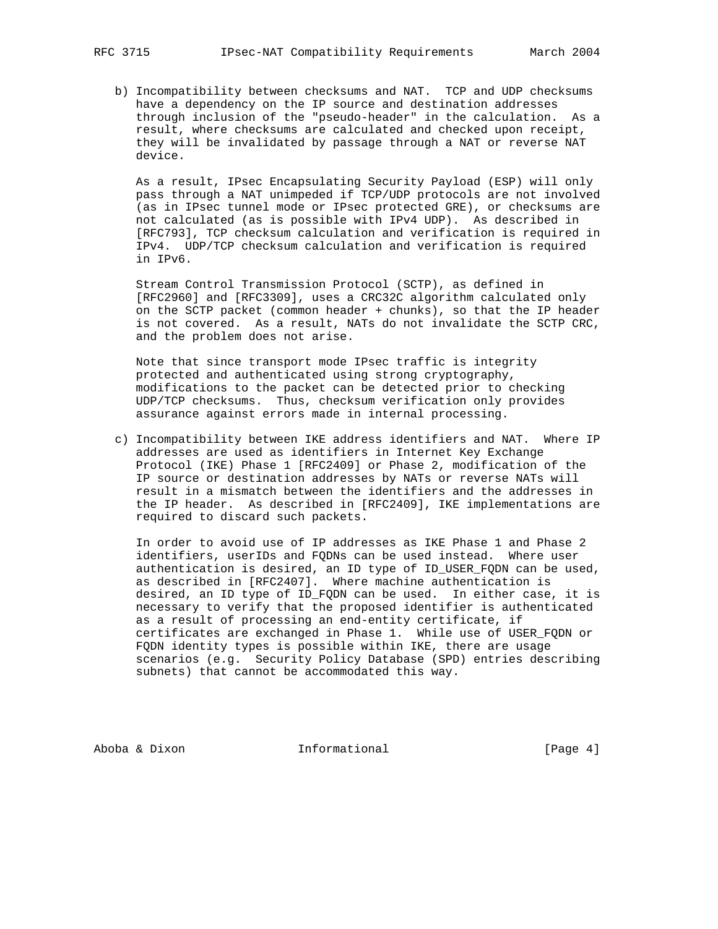b) Incompatibility between checksums and NAT. TCP and UDP checksums have a dependency on the IP source and destination addresses through inclusion of the "pseudo-header" in the calculation. As a result, where checksums are calculated and checked upon receipt, they will be invalidated by passage through a NAT or reverse NAT device.

 As a result, IPsec Encapsulating Security Payload (ESP) will only pass through a NAT unimpeded if TCP/UDP protocols are not involved (as in IPsec tunnel mode or IPsec protected GRE), or checksums are not calculated (as is possible with IPv4 UDP). As described in [RFC793], TCP checksum calculation and verification is required in IPv4. UDP/TCP checksum calculation and verification is required in IPv6.

 Stream Control Transmission Protocol (SCTP), as defined in [RFC2960] and [RFC3309], uses a CRC32C algorithm calculated only on the SCTP packet (common header + chunks), so that the IP header is not covered. As a result, NATs do not invalidate the SCTP CRC, and the problem does not arise.

 Note that since transport mode IPsec traffic is integrity protected and authenticated using strong cryptography, modifications to the packet can be detected prior to checking UDP/TCP checksums. Thus, checksum verification only provides assurance against errors made in internal processing.

 c) Incompatibility between IKE address identifiers and NAT. Where IP addresses are used as identifiers in Internet Key Exchange Protocol (IKE) Phase 1 [RFC2409] or Phase 2, modification of the IP source or destination addresses by NATs or reverse NATs will result in a mismatch between the identifiers and the addresses in the IP header. As described in [RFC2409], IKE implementations are required to discard such packets.

 In order to avoid use of IP addresses as IKE Phase 1 and Phase 2 identifiers, userIDs and FQDNs can be used instead. Where user authentication is desired, an ID type of ID\_USER\_FQDN can be used, as described in [RFC2407]. Where machine authentication is desired, an ID type of ID\_FQDN can be used. In either case, it is necessary to verify that the proposed identifier is authenticated as a result of processing an end-entity certificate, if certificates are exchanged in Phase 1. While use of USER\_FQDN or FQDN identity types is possible within IKE, there are usage scenarios (e.g. Security Policy Database (SPD) entries describing subnets) that cannot be accommodated this way.

Aboba & Dixon Informational [Page 4]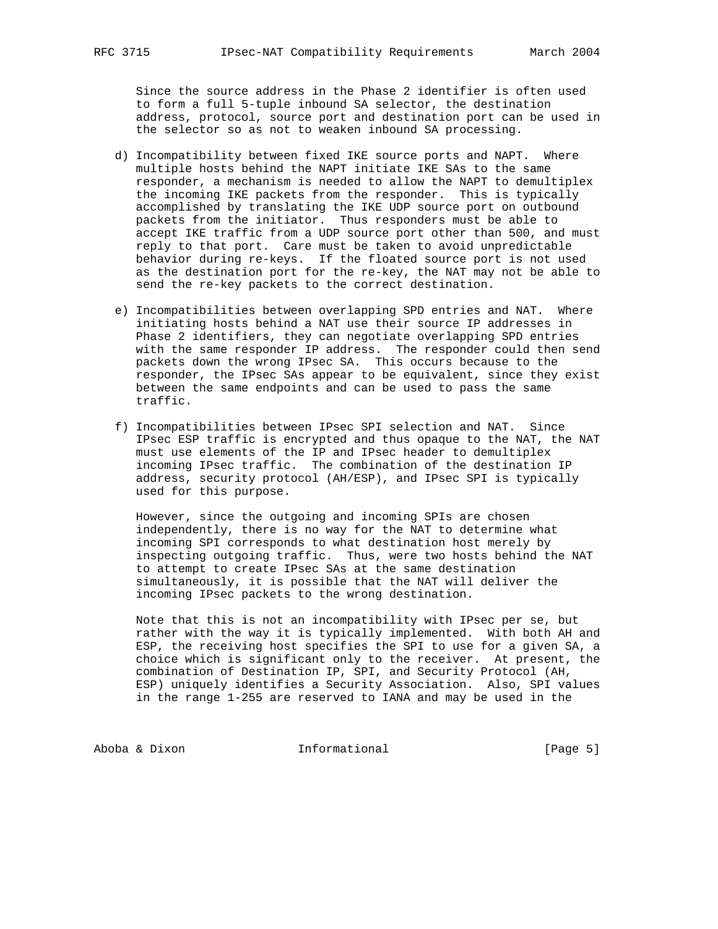Since the source address in the Phase 2 identifier is often used to form a full 5-tuple inbound SA selector, the destination address, protocol, source port and destination port can be used in the selector so as not to weaken inbound SA processing.

- d) Incompatibility between fixed IKE source ports and NAPT. Where multiple hosts behind the NAPT initiate IKE SAs to the same responder, a mechanism is needed to allow the NAPT to demultiplex the incoming IKE packets from the responder. This is typically accomplished by translating the IKE UDP source port on outbound packets from the initiator. Thus responders must be able to accept IKE traffic from a UDP source port other than 500, and must reply to that port. Care must be taken to avoid unpredictable behavior during re-keys. If the floated source port is not used as the destination port for the re-key, the NAT may not be able to send the re-key packets to the correct destination.
- e) Incompatibilities between overlapping SPD entries and NAT. Where initiating hosts behind a NAT use their source IP addresses in Phase 2 identifiers, they can negotiate overlapping SPD entries with the same responder IP address. The responder could then send packets down the wrong IPsec SA. This occurs because to the responder, the IPsec SAs appear to be equivalent, since they exist between the same endpoints and can be used to pass the same traffic.
- f) Incompatibilities between IPsec SPI selection and NAT. Since IPsec ESP traffic is encrypted and thus opaque to the NAT, the NAT must use elements of the IP and IPsec header to demultiplex incoming IPsec traffic. The combination of the destination IP address, security protocol (AH/ESP), and IPsec SPI is typically used for this purpose.

 However, since the outgoing and incoming SPIs are chosen independently, there is no way for the NAT to determine what incoming SPI corresponds to what destination host merely by inspecting outgoing traffic. Thus, were two hosts behind the NAT to attempt to create IPsec SAs at the same destination simultaneously, it is possible that the NAT will deliver the incoming IPsec packets to the wrong destination.

 Note that this is not an incompatibility with IPsec per se, but rather with the way it is typically implemented. With both AH and ESP, the receiving host specifies the SPI to use for a given SA, a choice which is significant only to the receiver. At present, the combination of Destination IP, SPI, and Security Protocol (AH, ESP) uniquely identifies a Security Association. Also, SPI values in the range 1-255 are reserved to IANA and may be used in the

Aboba & Dixon Informational [Page 5]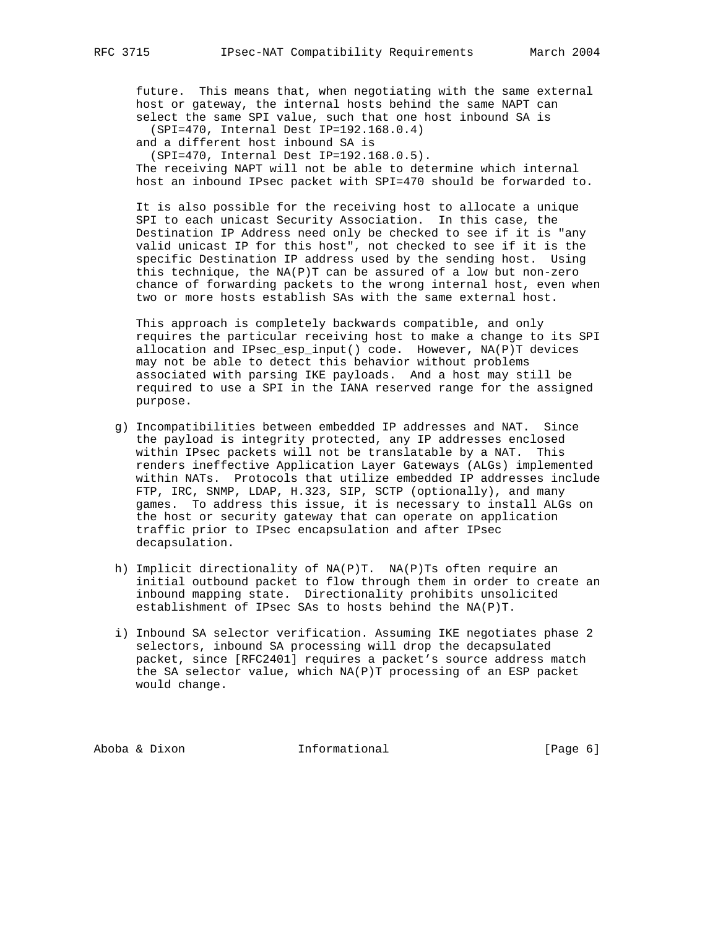future. This means that, when negotiating with the same external host or gateway, the internal hosts behind the same NAPT can select the same SPI value, such that one host inbound SA is

(SPI=470, Internal Dest IP=192.168.0.4)

and a different host inbound SA is

(SPI=470, Internal Dest IP=192.168.0.5).

 The receiving NAPT will not be able to determine which internal host an inbound IPsec packet with SPI=470 should be forwarded to.

 It is also possible for the receiving host to allocate a unique SPI to each unicast Security Association. In this case, the Destination IP Address need only be checked to see if it is "any valid unicast IP for this host", not checked to see if it is the specific Destination IP address used by the sending host. Using this technique, the  $NA(P)T$  can be assured of a low but non-zero chance of forwarding packets to the wrong internal host, even when two or more hosts establish SAs with the same external host.

 This approach is completely backwards compatible, and only requires the particular receiving host to make a change to its SPI allocation and IPsec\_esp\_input() code. However, NA(P)T devices may not be able to detect this behavior without problems associated with parsing IKE payloads. And a host may still be required to use a SPI in the IANA reserved range for the assigned purpose.

- g) Incompatibilities between embedded IP addresses and NAT. Since the payload is integrity protected, any IP addresses enclosed within IPsec packets will not be translatable by a NAT. This renders ineffective Application Layer Gateways (ALGs) implemented within NATs. Protocols that utilize embedded IP addresses include FTP, IRC, SNMP, LDAP, H.323, SIP, SCTP (optionally), and many games. To address this issue, it is necessary to install ALGs on the host or security gateway that can operate on application traffic prior to IPsec encapsulation and after IPsec decapsulation.
- h) Implicit directionality of NA(P)T. NA(P)Ts often require an initial outbound packet to flow through them in order to create an inbound mapping state. Directionality prohibits unsolicited establishment of IPsec SAs to hosts behind the NA(P)T.
- i) Inbound SA selector verification. Assuming IKE negotiates phase 2 selectors, inbound SA processing will drop the decapsulated packet, since [RFC2401] requires a packet's source address match the SA selector value, which NA(P)T processing of an ESP packet would change.

Aboba & Dixon **Informational** [Page 6]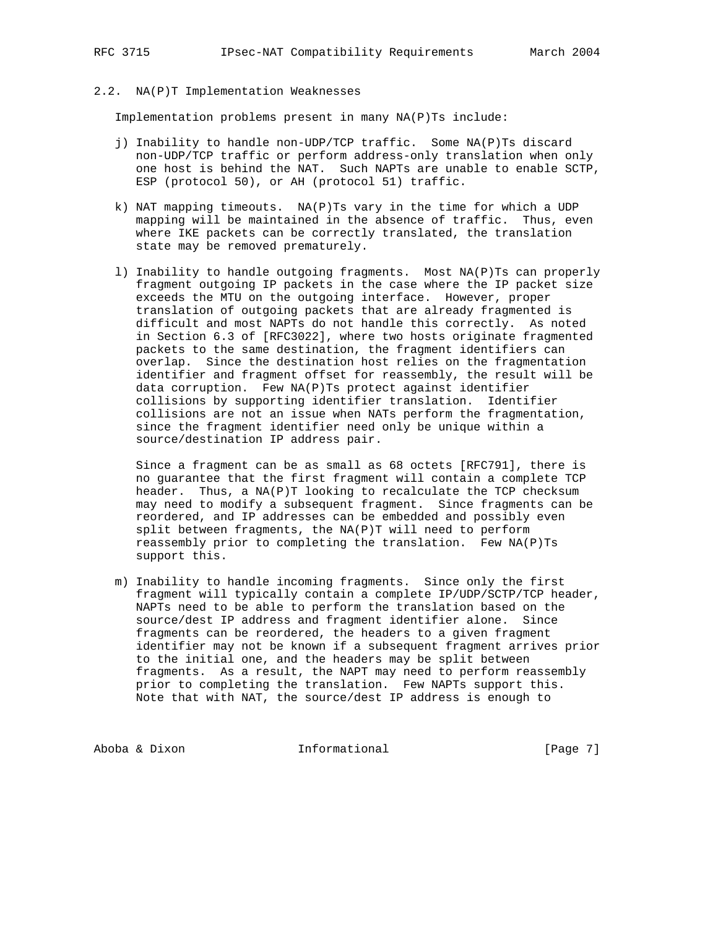# 2.2. NA(P)T Implementation Weaknesses

Implementation problems present in many NA(P)Ts include:

- j) Inability to handle non-UDP/TCP traffic. Some NA(P)Ts discard non-UDP/TCP traffic or perform address-only translation when only one host is behind the NAT. Such NAPTs are unable to enable SCTP, ESP (protocol 50), or AH (protocol 51) traffic.
- k) NAT mapping timeouts. NA(P)Ts vary in the time for which a UDP mapping will be maintained in the absence of traffic. Thus, even where IKE packets can be correctly translated, the translation state may be removed prematurely.
- l) Inability to handle outgoing fragments. Most NA(P)Ts can properly fragment outgoing IP packets in the case where the IP packet size exceeds the MTU on the outgoing interface. However, proper translation of outgoing packets that are already fragmented is difficult and most NAPTs do not handle this correctly. As noted in Section 6.3 of [RFC3022], where two hosts originate fragmented packets to the same destination, the fragment identifiers can overlap. Since the destination host relies on the fragmentation identifier and fragment offset for reassembly, the result will be data corruption. Few NA(P)Ts protect against identifier collisions by supporting identifier translation. Identifier collisions are not an issue when NATs perform the fragmentation, since the fragment identifier need only be unique within a source/destination IP address pair.

 Since a fragment can be as small as 68 octets [RFC791], there is no guarantee that the first fragment will contain a complete TCP header. Thus, a NA(P)T looking to recalculate the TCP checksum may need to modify a subsequent fragment. Since fragments can be reordered, and IP addresses can be embedded and possibly even split between fragments, the NA(P)T will need to perform reassembly prior to completing the translation. Few NA(P)Ts support this.

 m) Inability to handle incoming fragments. Since only the first fragment will typically contain a complete IP/UDP/SCTP/TCP header, NAPTs need to be able to perform the translation based on the source/dest IP address and fragment identifier alone. Since fragments can be reordered, the headers to a given fragment identifier may not be known if a subsequent fragment arrives prior to the initial one, and the headers may be split between fragments. As a result, the NAPT may need to perform reassembly prior to completing the translation. Few NAPTs support this. Note that with NAT, the source/dest IP address is enough to

Aboba & Dixon Informational [Page 7]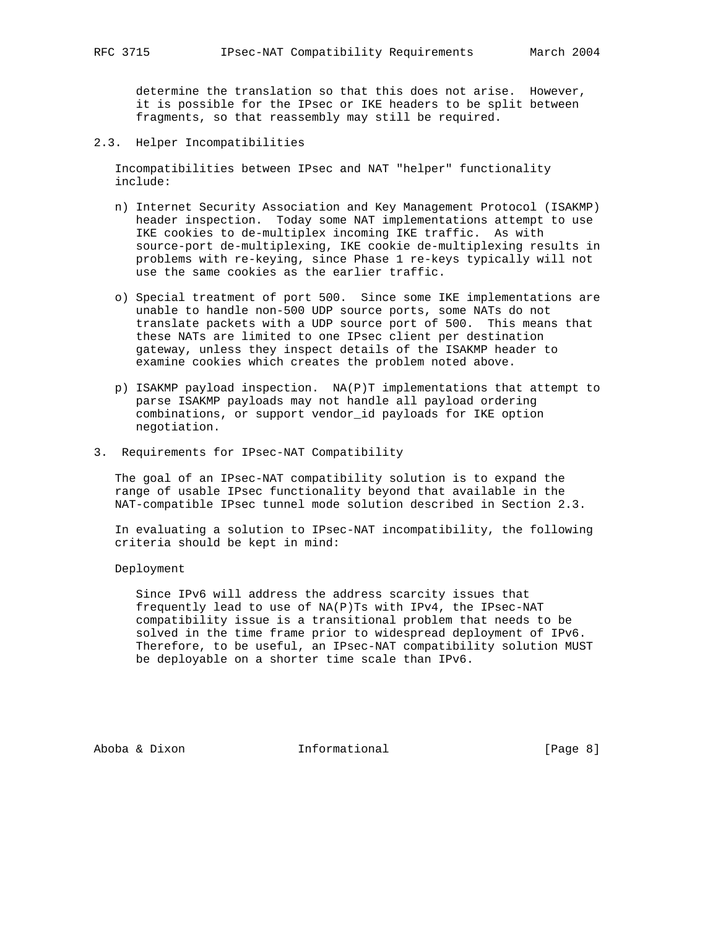determine the translation so that this does not arise. However, it is possible for the IPsec or IKE headers to be split between fragments, so that reassembly may still be required.

2.3. Helper Incompatibilities

 Incompatibilities between IPsec and NAT "helper" functionality include:

- n) Internet Security Association and Key Management Protocol (ISAKMP) header inspection. Today some NAT implementations attempt to use IKE cookies to de-multiplex incoming IKE traffic. As with source-port de-multiplexing, IKE cookie de-multiplexing results in problems with re-keying, since Phase 1 re-keys typically will not use the same cookies as the earlier traffic.
- o) Special treatment of port 500. Since some IKE implementations are unable to handle non-500 UDP source ports, some NATs do not translate packets with a UDP source port of 500. This means that these NATs are limited to one IPsec client per destination gateway, unless they inspect details of the ISAKMP header to examine cookies which creates the problem noted above.
- p) ISAKMP payload inspection. NA(P)T implementations that attempt to parse ISAKMP payloads may not handle all payload ordering combinations, or support vendor\_id payloads for IKE option negotiation.
- 3. Requirements for IPsec-NAT Compatibility

 The goal of an IPsec-NAT compatibility solution is to expand the range of usable IPsec functionality beyond that available in the NAT-compatible IPsec tunnel mode solution described in Section 2.3.

 In evaluating a solution to IPsec-NAT incompatibility, the following criteria should be kept in mind:

Deployment

 Since IPv6 will address the address scarcity issues that frequently lead to use of NA(P)Ts with IPv4, the IPsec-NAT compatibility issue is a transitional problem that needs to be solved in the time frame prior to widespread deployment of IPv6. Therefore, to be useful, an IPsec-NAT compatibility solution MUST be deployable on a shorter time scale than IPv6.

Aboba & Dixon **Informational Informational** [Page 8]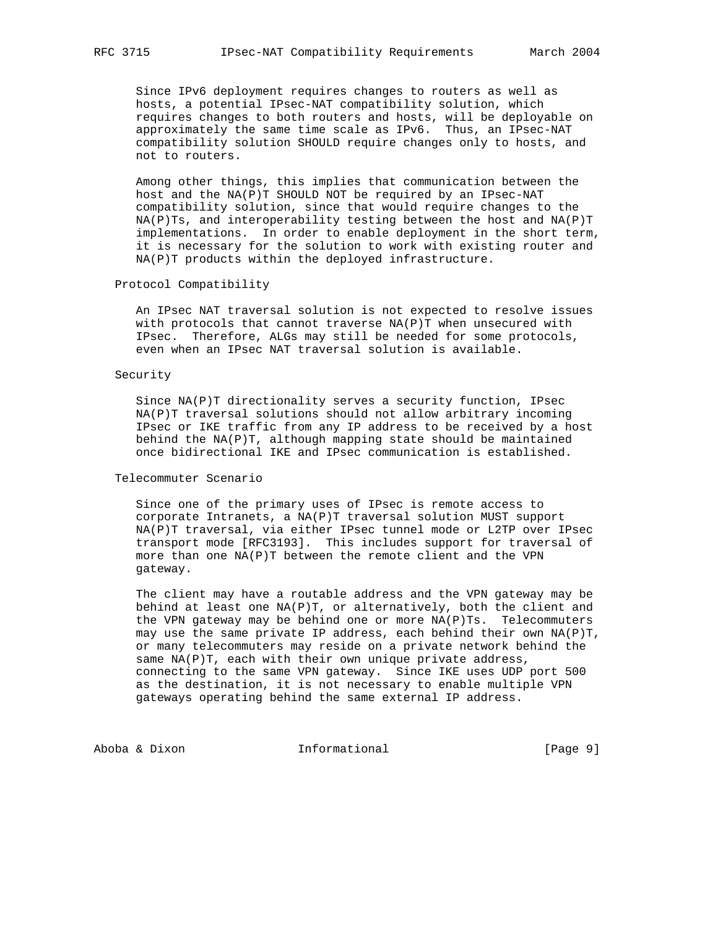Since IPv6 deployment requires changes to routers as well as hosts, a potential IPsec-NAT compatibility solution, which requires changes to both routers and hosts, will be deployable on approximately the same time scale as IPv6. Thus, an IPsec-NAT compatibility solution SHOULD require changes only to hosts, and not to routers.

 Among other things, this implies that communication between the host and the NA(P)T SHOULD NOT be required by an IPsec-NAT compatibility solution, since that would require changes to the  $NA(P)$ Ts, and interoperability testing between the host and  $NA(P)$ T implementations. In order to enable deployment in the short term, it is necessary for the solution to work with existing router and NA(P)T products within the deployed infrastructure.

#### Protocol Compatibility

 An IPsec NAT traversal solution is not expected to resolve issues with protocols that cannot traverse NA(P)T when unsecured with IPsec. Therefore, ALGs may still be needed for some protocols, even when an IPsec NAT traversal solution is available.

#### Security

 Since NA(P)T directionality serves a security function, IPsec NA(P)T traversal solutions should not allow arbitrary incoming IPsec or IKE traffic from any IP address to be received by a host behind the NA(P)T, although mapping state should be maintained once bidirectional IKE and IPsec communication is established.

#### Telecommuter Scenario

 Since one of the primary uses of IPsec is remote access to corporate Intranets, a NA(P)T traversal solution MUST support NA(P)T traversal, via either IPsec tunnel mode or L2TP over IPsec transport mode [RFC3193]. This includes support for traversal of more than one NA(P)T between the remote client and the VPN gateway.

 The client may have a routable address and the VPN gateway may be behind at least one NA(P)T, or alternatively, both the client and the VPN gateway may be behind one or more NA(P)Ts. Telecommuters may use the same private IP address, each behind their own NA(P)T, or many telecommuters may reside on a private network behind the same  $NA(P)T$ , each with their own unique private address, connecting to the same VPN gateway. Since IKE uses UDP port 500 as the destination, it is not necessary to enable multiple VPN gateways operating behind the same external IP address.

Aboba & Dixon Informational [Page 9]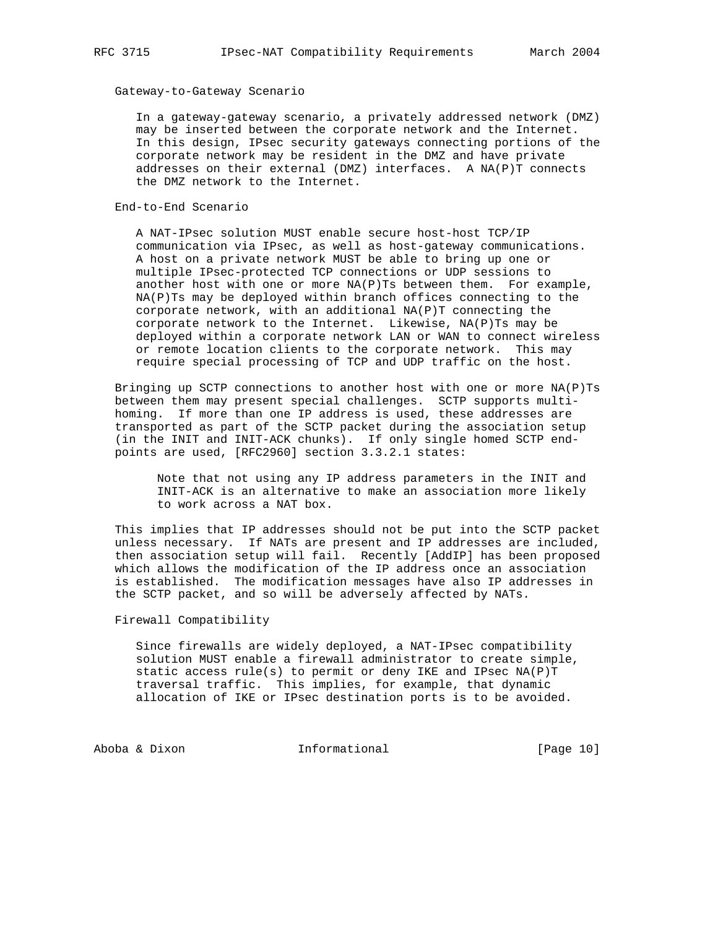#### Gateway-to-Gateway Scenario

 In a gateway-gateway scenario, a privately addressed network (DMZ) may be inserted between the corporate network and the Internet. In this design, IPsec security gateways connecting portions of the corporate network may be resident in the DMZ and have private addresses on their external (DMZ) interfaces. A NA(P)T connects the DMZ network to the Internet.

#### End-to-End Scenario

 A NAT-IPsec solution MUST enable secure host-host TCP/IP communication via IPsec, as well as host-gateway communications. A host on a private network MUST be able to bring up one or multiple IPsec-protected TCP connections or UDP sessions to another host with one or more  $NA(P)$ Ts between them. For example, NA(P)Ts may be deployed within branch offices connecting to the corporate network, with an additional  $NA(P)T$  connecting the corporate network to the Internet. Likewise, NA(P)Ts may be deployed within a corporate network LAN or WAN to connect wireless or remote location clients to the corporate network. This may require special processing of TCP and UDP traffic on the host.

 Bringing up SCTP connections to another host with one or more NA(P)Ts between them may present special challenges. SCTP supports multi homing. If more than one IP address is used, these addresses are transported as part of the SCTP packet during the association setup (in the INIT and INIT-ACK chunks). If only single homed SCTP end points are used, [RFC2960] section 3.3.2.1 states:

> Note that not using any IP address parameters in the INIT and INIT-ACK is an alternative to make an association more likely to work across a NAT box.

 This implies that IP addresses should not be put into the SCTP packet unless necessary. If NATs are present and IP addresses are included, then association setup will fail. Recently [AddIP] has been proposed which allows the modification of the IP address once an association is established. The modification messages have also IP addresses in the SCTP packet, and so will be adversely affected by NATs.

Firewall Compatibility

 Since firewalls are widely deployed, a NAT-IPsec compatibility solution MUST enable a firewall administrator to create simple, static access rule(s) to permit or deny IKE and IPsec NA(P)T traversal traffic. This implies, for example, that dynamic allocation of IKE or IPsec destination ports is to be avoided.

Aboba & Dixon Informational [Page 10]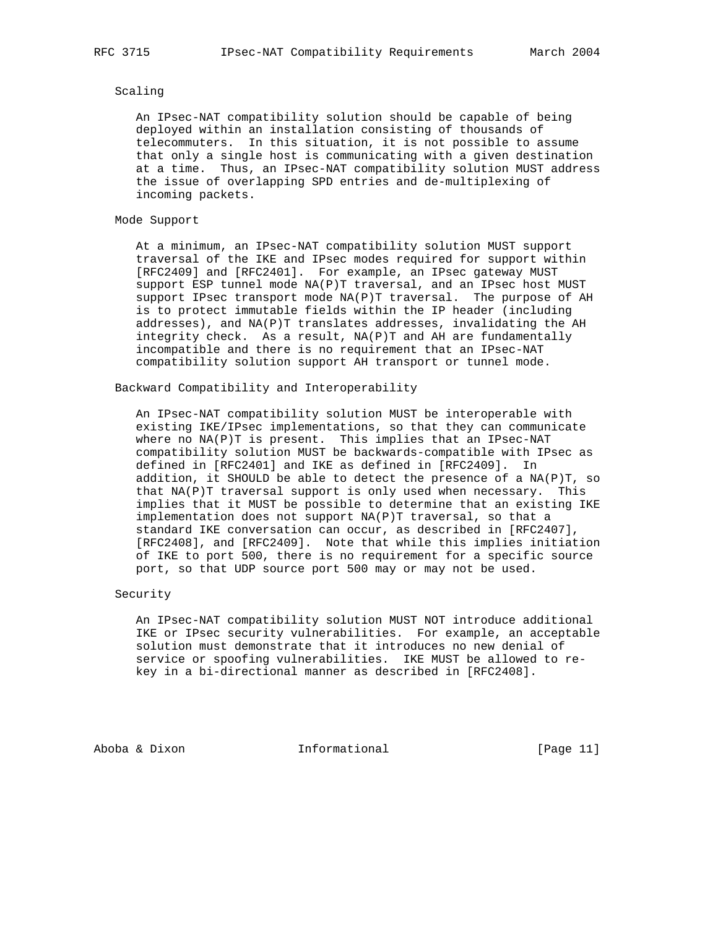## Scaling

 An IPsec-NAT compatibility solution should be capable of being deployed within an installation consisting of thousands of telecommuters. In this situation, it is not possible to assume that only a single host is communicating with a given destination at a time. Thus, an IPsec-NAT compatibility solution MUST address the issue of overlapping SPD entries and de-multiplexing of incoming packets.

#### Mode Support

 At a minimum, an IPsec-NAT compatibility solution MUST support traversal of the IKE and IPsec modes required for support within [RFC2409] and [RFC2401]. For example, an IPsec gateway MUST support ESP tunnel mode NA(P)T traversal, and an IPsec host MUST support IPsec transport mode NA(P)T traversal. The purpose of AH is to protect immutable fields within the IP header (including addresses), and NA(P)T translates addresses, invalidating the AH integrity check. As a result, NA(P)T and AH are fundamentally incompatible and there is no requirement that an IPsec-NAT compatibility solution support AH transport or tunnel mode.

## Backward Compatibility and Interoperability

 An IPsec-NAT compatibility solution MUST be interoperable with existing IKE/IPsec implementations, so that they can communicate where no  $NA(P)T$  is present. This implies that an IPsec-NAT compatibility solution MUST be backwards-compatible with IPsec as defined in [RFC2401] and IKE as defined in [RFC2409]. In addition, it SHOULD be able to detect the presence of a NA(P)T, so that NA(P)T traversal support is only used when necessary. This implies that it MUST be possible to determine that an existing IKE implementation does not support NA(P)T traversal, so that a standard IKE conversation can occur, as described in [RFC2407], [RFC2408], and [RFC2409]. Note that while this implies initiation of IKE to port 500, there is no requirement for a specific source port, so that UDP source port 500 may or may not be used.

#### Security

 An IPsec-NAT compatibility solution MUST NOT introduce additional IKE or IPsec security vulnerabilities. For example, an acceptable solution must demonstrate that it introduces no new denial of service or spoofing vulnerabilities. IKE MUST be allowed to re key in a bi-directional manner as described in [RFC2408].

Aboba & Dixon **Informational** [Page 11]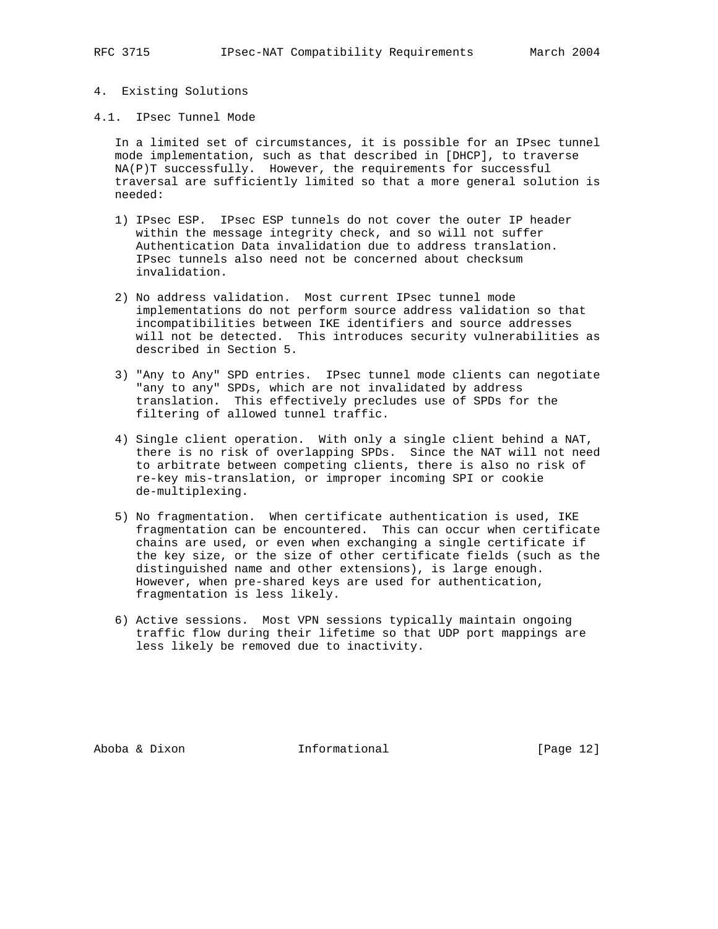# 4. Existing Solutions

4.1. IPsec Tunnel Mode

 In a limited set of circumstances, it is possible for an IPsec tunnel mode implementation, such as that described in [DHCP], to traverse NA(P)T successfully. However, the requirements for successful traversal are sufficiently limited so that a more general solution is needed:

- 1) IPsec ESP. IPsec ESP tunnels do not cover the outer IP header within the message integrity check, and so will not suffer Authentication Data invalidation due to address translation. IPsec tunnels also need not be concerned about checksum invalidation.
- 2) No address validation. Most current IPsec tunnel mode implementations do not perform source address validation so that incompatibilities between IKE identifiers and source addresses will not be detected. This introduces security vulnerabilities as described in Section 5.
- 3) "Any to Any" SPD entries. IPsec tunnel mode clients can negotiate "any to any" SPDs, which are not invalidated by address translation. This effectively precludes use of SPDs for the filtering of allowed tunnel traffic.
- 4) Single client operation. With only a single client behind a NAT, there is no risk of overlapping SPDs. Since the NAT will not need to arbitrate between competing clients, there is also no risk of re-key mis-translation, or improper incoming SPI or cookie de-multiplexing.
- 5) No fragmentation. When certificate authentication is used, IKE fragmentation can be encountered. This can occur when certificate chains are used, or even when exchanging a single certificate if the key size, or the size of other certificate fields (such as the distinguished name and other extensions), is large enough. However, when pre-shared keys are used for authentication, fragmentation is less likely.
- 6) Active sessions. Most VPN sessions typically maintain ongoing traffic flow during their lifetime so that UDP port mappings are less likely be removed due to inactivity.

Aboba & Dixon **Informational Informational** [Page 12]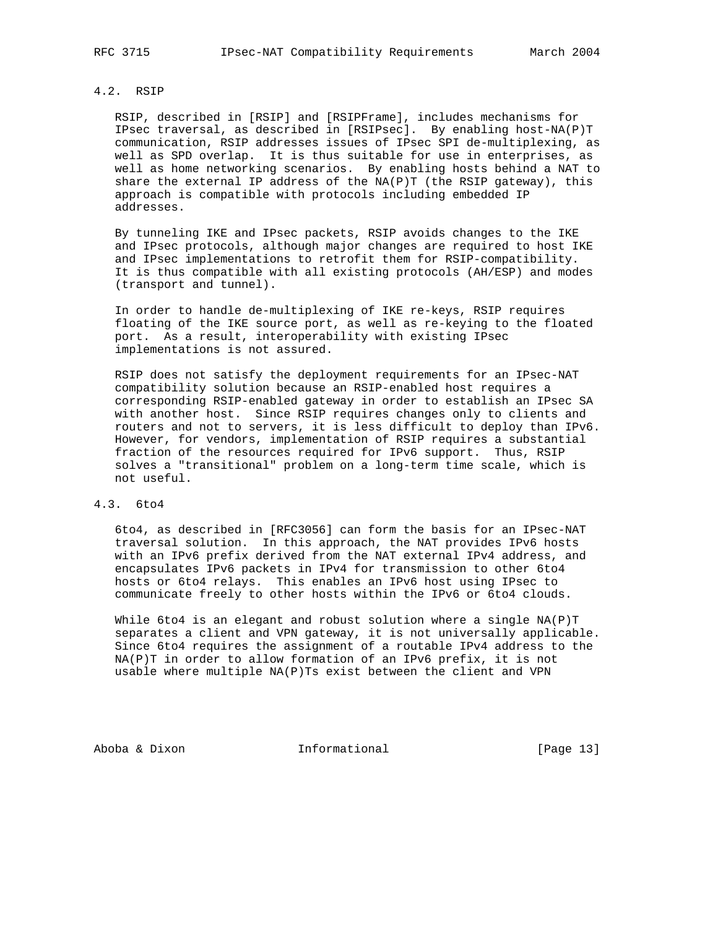## 4.2. RSIP

 RSIP, described in [RSIP] and [RSIPFrame], includes mechanisms for IPsec traversal, as described in [RSIPsec]. By enabling host-NA(P)T communication, RSIP addresses issues of IPsec SPI de-multiplexing, as well as SPD overlap. It is thus suitable for use in enterprises, as well as home networking scenarios. By enabling hosts behind a NAT to share the external IP address of the NA(P)T (the RSIP gateway), this approach is compatible with protocols including embedded IP addresses.

 By tunneling IKE and IPsec packets, RSIP avoids changes to the IKE and IPsec protocols, although major changes are required to host IKE and IPsec implementations to retrofit them for RSIP-compatibility. It is thus compatible with all existing protocols (AH/ESP) and modes (transport and tunnel).

 In order to handle de-multiplexing of IKE re-keys, RSIP requires floating of the IKE source port, as well as re-keying to the floated port. As a result, interoperability with existing IPsec implementations is not assured.

 RSIP does not satisfy the deployment requirements for an IPsec-NAT compatibility solution because an RSIP-enabled host requires a corresponding RSIP-enabled gateway in order to establish an IPsec SA with another host. Since RSIP requires changes only to clients and routers and not to servers, it is less difficult to deploy than IPv6. However, for vendors, implementation of RSIP requires a substantial fraction of the resources required for IPv6 support. Thus, RSIP solves a "transitional" problem on a long-term time scale, which is not useful.

#### 4.3. 6to4

 6to4, as described in [RFC3056] can form the basis for an IPsec-NAT traversal solution. In this approach, the NAT provides IPv6 hosts with an IPv6 prefix derived from the NAT external IPv4 address, and encapsulates IPv6 packets in IPv4 for transmission to other 6to4 hosts or 6to4 relays. This enables an IPv6 host using IPsec to communicate freely to other hosts within the IPv6 or 6to4 clouds.

While 6to4 is an elegant and robust solution where a single NA(P)T separates a client and VPN gateway, it is not universally applicable. Since 6to4 requires the assignment of a routable IPv4 address to the NA(P)T in order to allow formation of an IPv6 prefix, it is not usable where multiple NA(P)Ts exist between the client and VPN

Aboba & Dixon **Informational** [Page 13]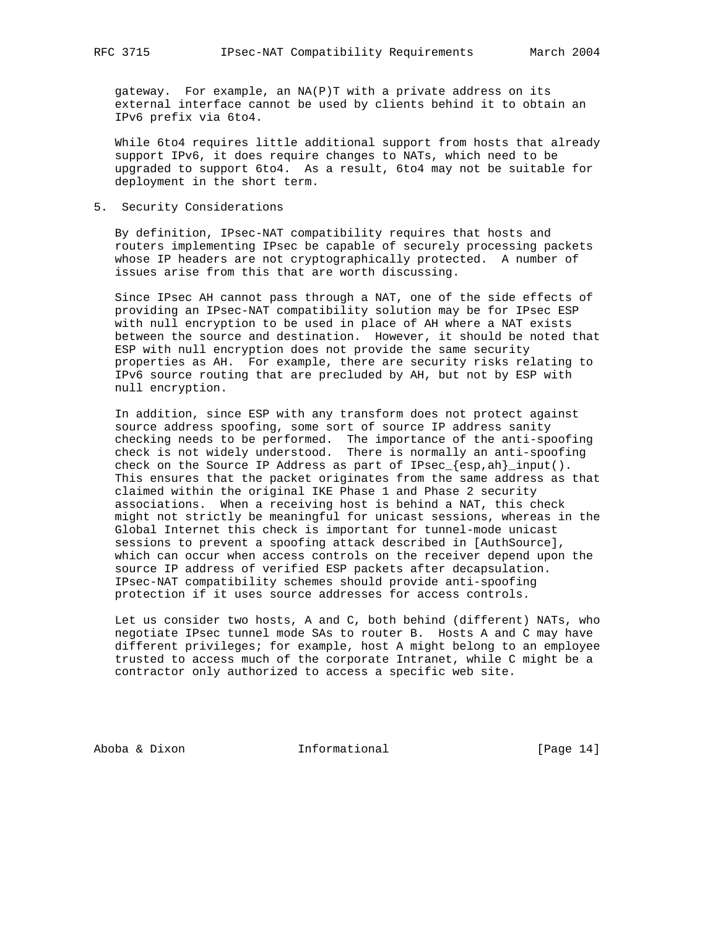gateway. For example, an NA(P)T with a private address on its external interface cannot be used by clients behind it to obtain an IPv6 prefix via 6to4.

 While 6to4 requires little additional support from hosts that already support IPv6, it does require changes to NATs, which need to be upgraded to support 6to4. As a result, 6to4 may not be suitable for deployment in the short term.

## 5. Security Considerations

 By definition, IPsec-NAT compatibility requires that hosts and routers implementing IPsec be capable of securely processing packets whose IP headers are not cryptographically protected. A number of issues arise from this that are worth discussing.

 Since IPsec AH cannot pass through a NAT, one of the side effects of providing an IPsec-NAT compatibility solution may be for IPsec ESP with null encryption to be used in place of AH where a NAT exists between the source and destination. However, it should be noted that ESP with null encryption does not provide the same security properties as AH. For example, there are security risks relating to IPv6 source routing that are precluded by AH, but not by ESP with null encryption.

 In addition, since ESP with any transform does not protect against source address spoofing, some sort of source IP address sanity checking needs to be performed. The importance of the anti-spoofing check is not widely understood. There is normally an anti-spoofing check on the Source IP Address as part of IPsec\_{esp,ah}\_input(). This ensures that the packet originates from the same address as that claimed within the original IKE Phase 1 and Phase 2 security associations. When a receiving host is behind a NAT, this check might not strictly be meaningful for unicast sessions, whereas in the Global Internet this check is important for tunnel-mode unicast sessions to prevent a spoofing attack described in [AuthSource], which can occur when access controls on the receiver depend upon the source IP address of verified ESP packets after decapsulation. IPsec-NAT compatibility schemes should provide anti-spoofing protection if it uses source addresses for access controls.

 Let us consider two hosts, A and C, both behind (different) NATs, who negotiate IPsec tunnel mode SAs to router B. Hosts A and C may have different privileges; for example, host A might belong to an employee trusted to access much of the corporate Intranet, while C might be a contractor only authorized to access a specific web site.

Aboba & Dixon Informational [Page 14]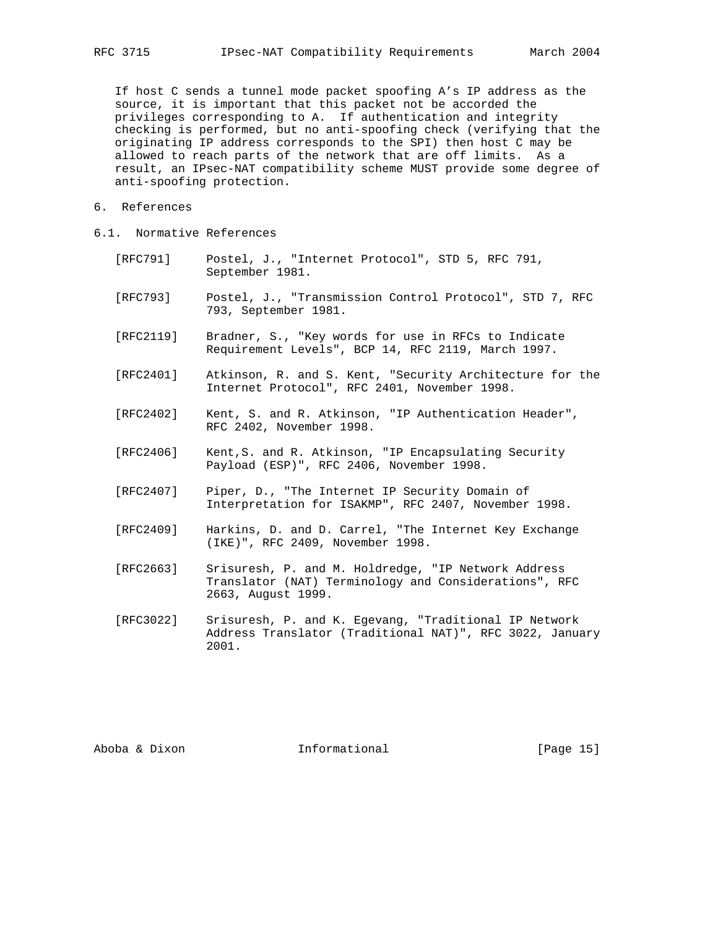If host C sends a tunnel mode packet spoofing A's IP address as the source, it is important that this packet not be accorded the privileges corresponding to A. If authentication and integrity checking is performed, but no anti-spoofing check (verifying that the originating IP address corresponds to the SPI) then host C may be allowed to reach parts of the network that are off limits. As a result, an IPsec-NAT compatibility scheme MUST provide some degree of anti-spoofing protection.

- 6. References
- 6.1. Normative References
	- [RFC791] Postel, J., "Internet Protocol", STD 5, RFC 791, September 1981.
	- [RFC793] Postel, J., "Transmission Control Protocol", STD 7, RFC 793, September 1981.
	- [RFC2119] Bradner, S., "Key words for use in RFCs to Indicate Requirement Levels", BCP 14, RFC 2119, March 1997.
	- [RFC2401] Atkinson, R. and S. Kent, "Security Architecture for the Internet Protocol", RFC 2401, November 1998.
	- [RFC2402] Kent, S. and R. Atkinson, "IP Authentication Header", RFC 2402, November 1998.
	- [RFC2406] Kent,S. and R. Atkinson, "IP Encapsulating Security Payload (ESP)", RFC 2406, November 1998.
	- [RFC2407] Piper, D., "The Internet IP Security Domain of Interpretation for ISAKMP", RFC 2407, November 1998.
	- [RFC2409] Harkins, D. and D. Carrel, "The Internet Key Exchange (IKE)", RFC 2409, November 1998.
	- [RFC2663] Srisuresh, P. and M. Holdredge, "IP Network Address Translator (NAT) Terminology and Considerations", RFC 2663, August 1999.
	- [RFC3022] Srisuresh, P. and K. Egevang, "Traditional IP Network Address Translator (Traditional NAT)", RFC 3022, January 2001.

Aboba & Dixon **Informational Informational** [Page 15]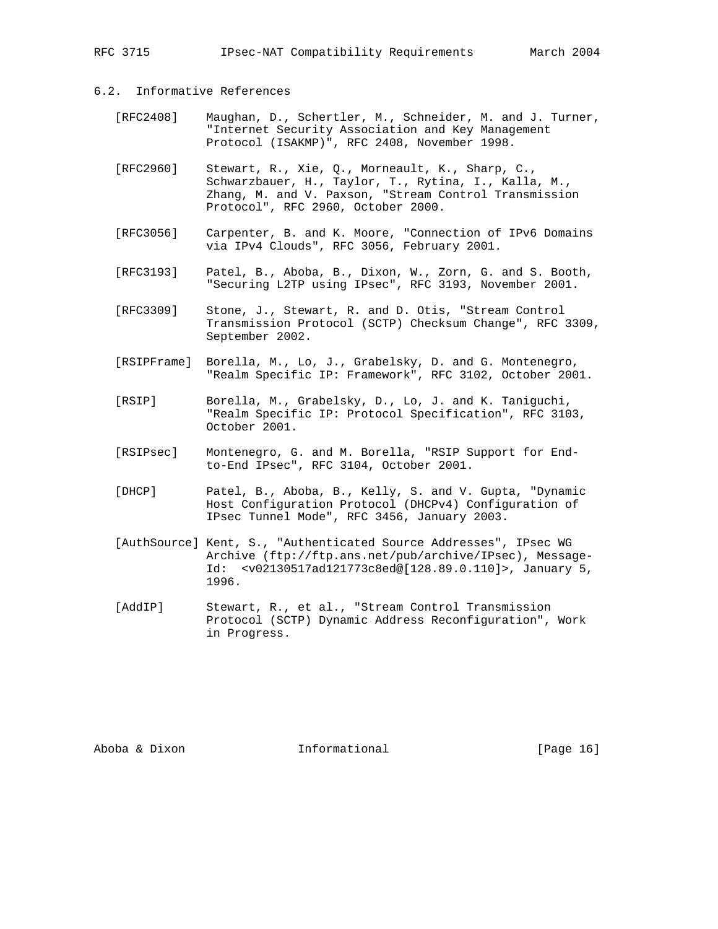# 6.2. Informative References

- [RFC2408] Maughan, D., Schertler, M., Schneider, M. and J. Turner, "Internet Security Association and Key Management Protocol (ISAKMP)", RFC 2408, November 1998.
- [RFC2960] Stewart, R., Xie, Q., Morneault, K., Sharp, C., Schwarzbauer, H., Taylor, T., Rytina, I., Kalla, M., Zhang, M. and V. Paxson, "Stream Control Transmission Protocol", RFC 2960, October 2000.
	- [RFC3056] Carpenter, B. and K. Moore, "Connection of IPv6 Domains via IPv4 Clouds", RFC 3056, February 2001.
	- [RFC3193] Patel, B., Aboba, B., Dixon, W., Zorn, G. and S. Booth, "Securing L2TP using IPsec", RFC 3193, November 2001.
	- [RFC3309] Stone, J., Stewart, R. and D. Otis, "Stream Control Transmission Protocol (SCTP) Checksum Change", RFC 3309, September 2002.
	- [RSIPFrame] Borella, M., Lo, J., Grabelsky, D. and G. Montenegro, "Realm Specific IP: Framework", RFC 3102, October 2001.
	- [RSIP] Borella, M., Grabelsky, D., Lo, J. and K. Taniguchi, "Realm Specific IP: Protocol Specification", RFC 3103, October 2001.
	- [RSIPsec] Montenegro, G. and M. Borella, "RSIP Support for End to-End IPsec", RFC 3104, October 2001.
	- [DHCP] Patel, B., Aboba, B., Kelly, S. and V. Gupta, "Dynamic Host Configuration Protocol (DHCPv4) Configuration of IPsec Tunnel Mode", RFC 3456, January 2003.
	- [AuthSource] Kent, S., "Authenticated Source Addresses", IPsec WG Archive (ftp://ftp.ans.net/pub/archive/IPsec), Message- Id: <v02130517ad121773c8ed@[128.89.0.110]>, January 5, 1996.
	- [AddIP] Stewart, R., et al., "Stream Control Transmission Protocol (SCTP) Dynamic Address Reconfiguration", Work in Progress.

Aboba & Dixon **Informational Informational** [Page 16]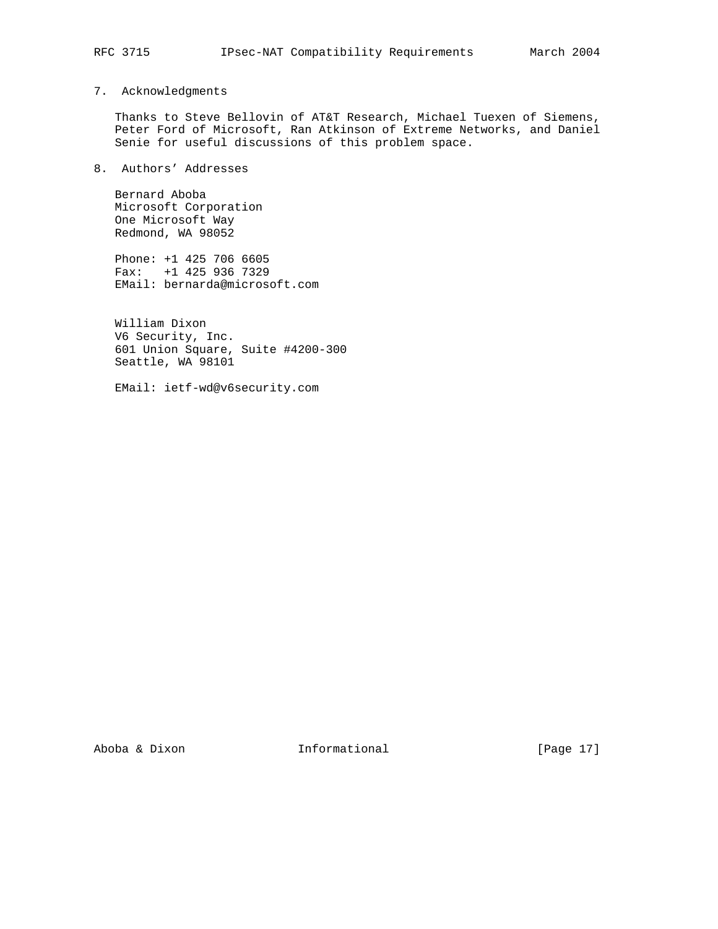# 7. Acknowledgments

 Thanks to Steve Bellovin of AT&T Research, Michael Tuexen of Siemens, Peter Ford of Microsoft, Ran Atkinson of Extreme Networks, and Daniel Senie for useful discussions of this problem space.

8. Authors' Addresses

 Bernard Aboba Microsoft Corporation One Microsoft Way Redmond, WA 98052

 Phone: +1 425 706 6605 Fax: +1 425 936 7329 EMail: bernarda@microsoft.com

 William Dixon V6 Security, Inc. 601 Union Square, Suite #4200-300 Seattle, WA 98101

EMail: ietf-wd@v6security.com

Aboba & Dixon Informational [Page 17]